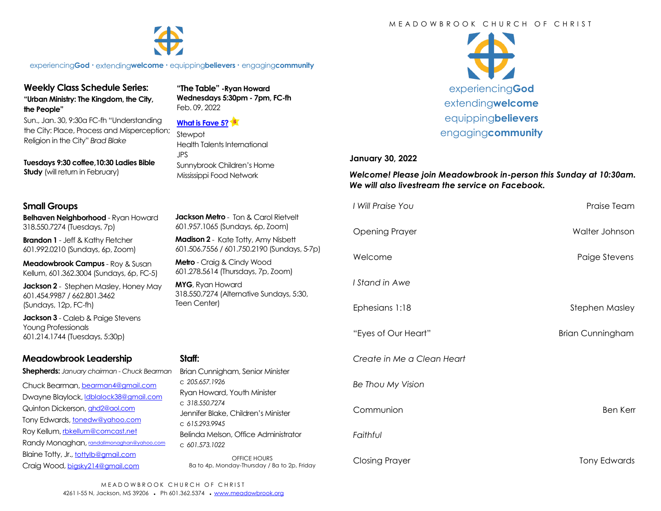#### M F A D O W B R O O K C H U R C H O F C H R I S T



experiencing**God •** extending**welcome •** equipping**believers •** engaging**community**

# **Weekly Class Schedule Series: "Urban Ministry: The Kingdom, the City,**

**the People"**

Sun., Jan. 30, 9:30a FC-fh "Understanding the City: Place, Process and Misperception; Religion in the City" *Brad Blake*

**Tuesdays 9:30 coffee,10:30 Ladies Bible Study** (will return in February)

### **Small Groups**

**Belhaven Neighborhood** - Ryan Howard 318.550.7274 (Tuesdays, 7p)

**Brandon 1** - Jeff & Kathy Fletcher 601.992.0210 (Sundays, 6p, Zoom)

**Meadowbrook Campus** - Roy & Susan Kellum, 601.362.3004 (Sundays, 6p, FC-5)

**Jackson 2** - Stephen Masley, Honey May 601.454.9987 / 662.801.3462 (Sundays, 12p, FC-fh)

**Jackson 3** - Caleb & Paige Stevens Young Professionals 601.214.1744 (Tuesdays, 5:30p)

# **Meadowbrook Leadership**

**Shepherds:** *January chairman - Chuck Bearman*

Chuck Bearman, [bearman4@gmail.com](mailto:bearman4@gmail.com) Dwayne Blaylock, [ldblalock38@gmail.com](mailto:ldblaylock38@gmail.com) Quinton Dickerson, [qhd2@aol.com](mailto:qhd2@aol.com) Tony Edwards, [tonedw@yahoo.com](mailto:tonedw@yahoo.com) Roy Kellum, [rbkellum@comcast.net](mailto:rbkellum@comcast.net) Randy Monaghan, [randallmonaghan@yahoo.com](mailto:randallmonaghan@yahoo.com) Blaine Totty, Jr., [tottylb@gmail.com](mailto:tottylb@gmail.com) Craig Wood, [bigsky214@gmail.com](mailto:bigsky214@gmail.com)

**"The Table" -Ryan Howard Wednesdays 5:30pm - 7pm, FC-fh** Feb. 09, 2022

### **[What is Fave 5?](https://meadowbrook.ccbchurch.com/group_detail.php?group_id=131)**

Stewpot Health Talents International JPS Sunnybrook Children's Home Mississippi Food Network



#### **January 30, 2022**

*Welcome! Please join Meadowbrook in-person this Sunday at 10:30am. We will also livestream the service on Facebook.*

|                                                                                                                                                        | I Will Praise You          | Praise Team             |
|--------------------------------------------------------------------------------------------------------------------------------------------------------|----------------------------|-------------------------|
| <b>Jackson Metro</b> - Ton & Carol Rietvelt<br>601.957.1065 (Sundays, 6p, Zoom)                                                                        | <b>Opening Prayer</b>      | Walter Johnson          |
| Madison 2 - Kate Totty, Amy Nisbett<br>601.506.7556 / 601.750.2190 (Sundays, 5-7p)<br>Metro - Craig & Cindy Wood<br>601.278.5614 (Thursdays, 7p, Zoom) |                            |                         |
|                                                                                                                                                        | Welcome                    | Paige Stevens           |
| MYG, Ryan Howard<br>318.550.7274 (Alternative Sundays, 5:30,<br>Teen Center)                                                                           | I Stand in Awe             |                         |
|                                                                                                                                                        | Ephesians 1:18             | <b>Stephen Masley</b>   |
|                                                                                                                                                        | "Eyes of Our Heart"        | <b>Brian Cunningham</b> |
| Staff:<br>Brian Cunnigham, Senior Minister<br>c 205.657.1926<br>Ryan Howard, Youth Minister                                                            | Create in Me a Clean Heart |                         |
|                                                                                                                                                        | Be Thou My Vision          |                         |
| c 318,550,7274<br>Jennifer Blake, Children's Minister<br>C 615.293.9945                                                                                | Communion                  | <b>Ben Kerr</b>         |
| Belinda Melson, Office Administrator<br>c 601.573.1022                                                                                                 | Faithful                   |                         |
| <b>OFFICE HOURS</b><br>8a to 4p, Monday-Thursday / 8a to 2p, Friday                                                                                    | <b>Closing Prayer</b>      | <b>Tony Edwards</b>     |